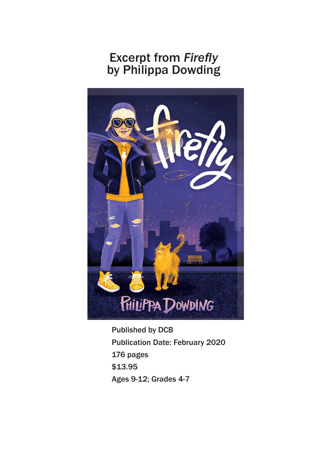## Excerpt from *Firefly* by Philippa Dowding



Published by DCB Publication Date: February 2020 176 pages \$13.95 Ages 9-12; Grades 4-7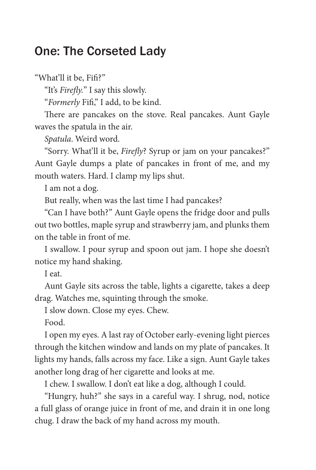## One: The Corseted Lady

"What'll it be, Fifi?"

"It's *Firefly.*" I say this slowly.

"*Formerly* Fifi," I add, to be kind.

There are pancakes on the stove. Real pancakes. Aunt Gayle waves the spatula in the air.

*Spatula*. Weird word.

"Sorry. What'll it be, *Firefly*? Syrup or jam on your pancakes?" Aunt Gayle dumps a plate of pancakes in front of me, and my mouth waters. Hard. I clamp my lips shut.

I am not a dog.

But really, when was the last time I had pancakes?

"Can I have both?" Aunt Gayle opens the fridge door and pulls out two bottles, maple syrup and strawberry jam, and plunks them on the table in front of me.

I swallow. I pour syrup and spoon out jam. I hope she doesn't notice my hand shaking.

I eat.

Aunt Gayle sits across the table, lights a cigarette, takes a deep drag. Watches me, squinting through the smoke.

I slow down. Close my eyes. Chew.

Food.

I open my eyes. A last ray of October early-evening light pierces through the kitchen window and lands on my plate of pancakes. It lights my hands, falls across my face. Like a sign. Aunt Gayle takes another long drag of her cigarette and looks at me.

I chew. I swallow. I don't eat like a dog, although I could.

"Hungry, huh?" she says in a careful way. I shrug, nod, notice a full glass of orange juice in front of me, and drain it in one long chug. I draw the back of my hand across my mouth.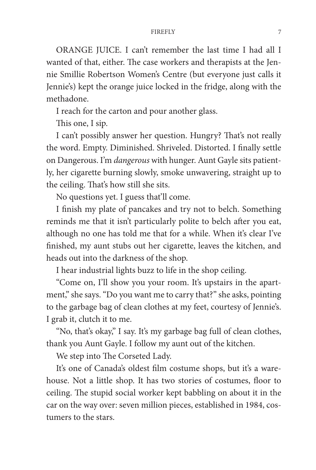## FIREFLY 7

ORANGE JUICE. I can't remember the last time I had all I wanted of that, either. The case workers and therapists at the Jennie Smillie Robertson Women's Centre (but everyone just calls it Jennie's) kept the orange juice locked in the fridge, along with the methadone.

I reach for the carton and pour another glass.

This one, I sip.

I can't possibly answer her question. Hungry? That's not really the word. Empty. Diminished. Shriveled. Distorted. I finally settle on Dangerous. I'm *dangerous* with hunger. Aunt Gayle sits patiently, her cigarette burning slowly, smoke unwavering, straight up to the ceiling. That's how still she sits.

No questions yet. I guess that'll come.

I finish my plate of pancakes and try not to belch. Something reminds me that it isn't particularly polite to belch after you eat, although no one has told me that for a while. When it's clear I've finished, my aunt stubs out her cigarette, leaves the kitchen, and heads out into the darkness of the shop.

I hear industrial lights buzz to life in the shop ceiling.

"Come on, I'll show you your room. It's upstairs in the apartment," she says. "Do you want me to carry that?" she asks, pointing to the garbage bag of clean clothes at my feet, courtesy of Jennie's. I grab it, clutch it to me.

"No, that's okay," I say. It's my garbage bag full of clean clothes, thank you Aunt Gayle. I follow my aunt out of the kitchen.

We step into The Corseted Lady.

It's one of Canada's oldest film costume shops, but it's a warehouse. Not a little shop. It has two stories of costumes, floor to ceiling. The stupid social worker kept babbling on about it in the car on the way over: seven million pieces, established in 1984, costumers to the stars.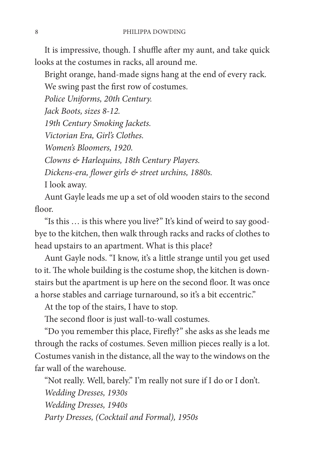It is impressive, though. I shuffle after my aunt, and take quick looks at the costumes in racks, all around me.

Bright orange, hand-made signs hang at the end of every rack. We swing past the first row of costumes.

*Police Uniforms, 20th Century. Jack Boots, sizes 8-12. 19th Century Smoking Jackets. Victorian Era, Girl's Clothes. Women's Bloomers, 1920. Clowns & Harlequins, 18th Century Players. Dickens-era, flower girls & street urchins, 1880s.*  I look away.

Aunt Gayle leads me up a set of old wooden stairs to the second floor.

"Is this … is this where you live?" It's kind of weird to say goodbye to the kitchen, then walk through racks and racks of clothes to head upstairs to an apartment. What is this place?

Aunt Gayle nods. "I know, it's a little strange until you get used to it. The whole building is the costume shop, the kitchen is downstairs but the apartment is up here on the second floor. It was once a horse stables and carriage turnaround, so it's a bit eccentric."

At the top of the stairs, I have to stop.

The second floor is just wall-to-wall costumes.

"Do you remember this place, Firefly?" she asks as she leads me through the racks of costumes. Seven million pieces really is a lot. Costumes vanish in the distance, all the way to the windows on the far wall of the warehouse.

"Not really. Well, barely." I'm really not sure if I do or I don't. *Wedding Dresses, 1930s Wedding Dresses, 1940s Party Dresses, (Cocktail and Formal), 1950s*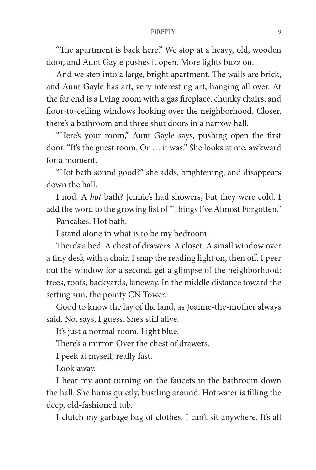## FIREFLY 9

"The apartment is back here." We stop at a heavy, old, wooden door, and Aunt Gayle pushes it open. More lights buzz on.

And we step into a large, bright apartment. The walls are brick, and Aunt Gayle has art, very interesting art, hanging all over. At the far end is a living room with a gas fireplace, chunky chairs, and floor-to-ceiling windows looking over the neighborhood. Closer, there's a bathroom and three shut doors in a narrow hall.

"Here's your room," Aunt Gayle says, pushing open the first door. "It's the guest room. Or … it was." She looks at me, awkward for a moment.

"Hot bath sound good?" she adds, brightening, and disappears down the hall.

I nod. A *hot* bath? Jennie's had showers, but they were cold. I add the word to the growing list of "Things I've Almost Forgotten."

Pancakes. Hot bath.

I stand alone in what is to be my bedroom.

There's a bed. A chest of drawers. A closet. A small window over a tiny desk with a chair. I snap the reading light on, then off. I peer out the window for a second, get a glimpse of the neighborhood: trees, roofs, backyards, laneway. In the middle distance toward the setting sun, the pointy CN Tower.

Good to know the lay of the land, as Joanne-the-mother always said. No, says, I guess. She's still alive.

It's just a normal room. Light blue.

There's a mirror. Over the chest of drawers.

I peek at myself, really fast.

Look away.

I hear my aunt turning on the faucets in the bathroom down the hall. She hums quietly, bustling around. Hot water is filling the deep, old-fashioned tub.

I clutch my garbage bag of clothes. I can't sit anywhere. It's all